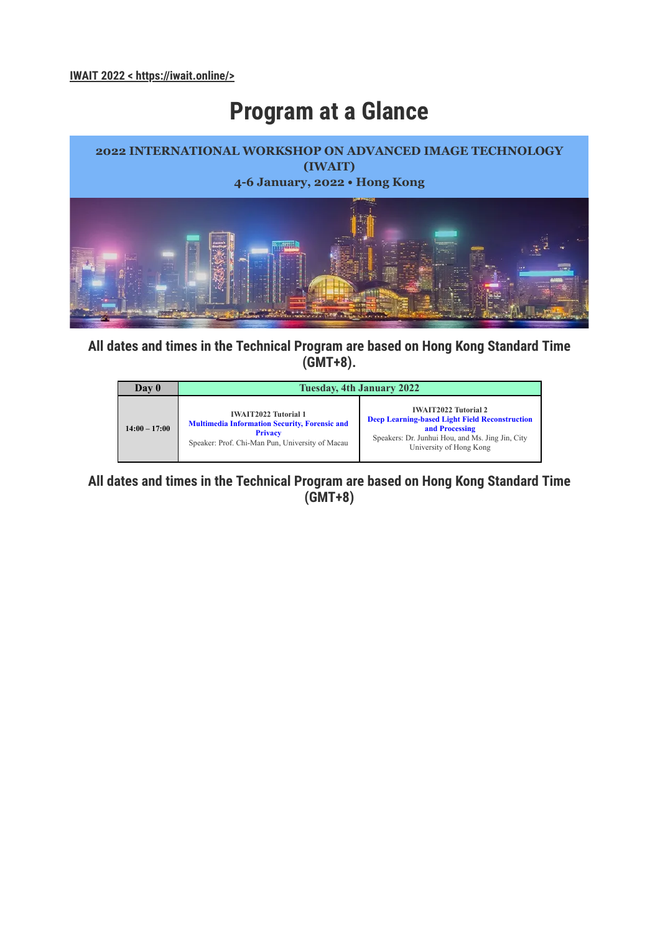## **Program at a Glance**



**All dates and times in the Technical Program are based on Hong Kong Standard Time (GMT+8).**



**All dates and times in the Technical Program are based on Hong Kong Standard Time (GMT+8)**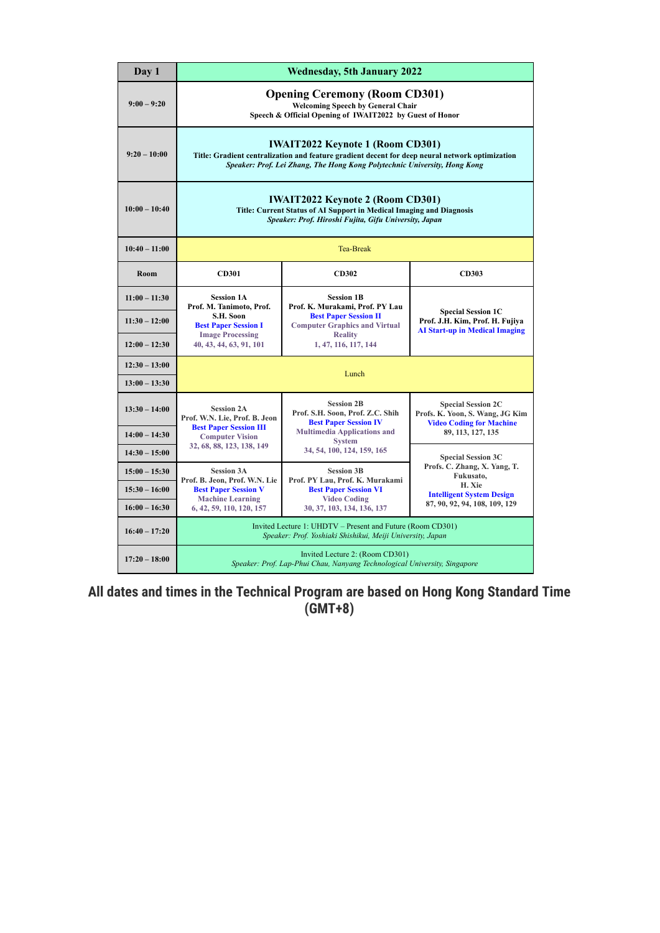| Day 1           |                                                                                                                                                                                                                         | <b>Wednesday, 5th January 2022</b>                                                                                       |                                                                                                       |
|-----------------|-------------------------------------------------------------------------------------------------------------------------------------------------------------------------------------------------------------------------|--------------------------------------------------------------------------------------------------------------------------|-------------------------------------------------------------------------------------------------------|
| $9:00 - 9:20$   | <b>Opening Ceremony (Room CD301)</b><br><b>Welcoming Speech by General Chair</b><br>Speech & Official Opening of IWAIT2022 by Guest of Honor                                                                            |                                                                                                                          |                                                                                                       |
| $9:20 - 10:00$  | <b>IWAIT2022 Keynote 1 (Room CD301)</b><br>Title: Gradient centralization and feature gradient decent for deep neural network optimization<br>Speaker: Prof. Lei Zhang, The Hong Kong Polytechnic University, Hong Kong |                                                                                                                          |                                                                                                       |
| $10:00 - 10:40$ | <b>IWAIT2022 Keynote 2 (Room CD301)</b><br>Title: Current Status of AI Support in Medical Imaging and Diagnosis<br>Speaker: Prof. Hiroshi Fujita, Gifu University, Japan                                                |                                                                                                                          |                                                                                                       |
| $10:40 - 11:00$ |                                                                                                                                                                                                                         | <b>Tea-Break</b>                                                                                                         |                                                                                                       |
| Room            | <b>CD301</b>                                                                                                                                                                                                            | <b>CD302</b>                                                                                                             | <b>CD303</b>                                                                                          |
| $11:00 - 11:30$ | <b>Session 1A</b><br>Prof. M. Tanimoto, Prof.                                                                                                                                                                           | <b>Session 1B</b><br>Prof. K. Murakami, Prof. PY Lau                                                                     |                                                                                                       |
| $11:30 - 12:00$ | S.H. Soon<br><b>Best Paper Session I</b>                                                                                                                                                                                | <b>Best Paper Session II</b><br><b>Computer Graphics and Virtual</b>                                                     | <b>Special Session 1C</b><br>Prof. J.H. Kim, Prof. H. Fujiva<br><b>AI Start-up in Medical Imaging</b> |
| $12:00 - 12:30$ | <b>Image Processing</b><br>40, 43, 44, 63, 91, 101                                                                                                                                                                      | <b>Reality</b><br>1, 47, 116, 117, 144                                                                                   |                                                                                                       |
| $12:30 - 13:00$ |                                                                                                                                                                                                                         | Lunch                                                                                                                    |                                                                                                       |
| $13:00 - 13:30$ |                                                                                                                                                                                                                         |                                                                                                                          |                                                                                                       |
| $13:30 - 14:00$ | <b>Session 2A</b><br>Prof. W.N. Lie, Prof. B. Jeon<br><b>Best Paper Session III</b>                                                                                                                                     | <b>Session 2B</b><br>Prof. S.H. Soon, Prof. Z.C. Shih<br><b>Best Paper Session IV</b>                                    | <b>Special Session 2C</b><br>Profs. K. Yoon, S. Wang, JG Kim<br><b>Video Coding for Machine</b>       |
| $14:00 - 14:30$ | <b>Computer Vision</b><br>32, 68, 88, 123, 138, 149                                                                                                                                                                     | <b>Multimedia Applications and</b><br><b>System</b>                                                                      | 89, 113, 127, 135                                                                                     |
| $14:30 - 15:00$ |                                                                                                                                                                                                                         | 34, 54, 100, 124, 159, 165                                                                                               | <b>Special Session 3C</b>                                                                             |
| $15:00 - 15:30$ | <b>Session 3A</b><br>Prof. B. Jeon, Prof. W.N. Lie                                                                                                                                                                      | <b>Session 3B</b><br>Prof. PY Lau, Prof. K. Murakami                                                                     | Profs. C. Zhang, X. Yang, T.<br>Fukusato,                                                             |
| $15:30 - 16:00$ | <b>Best Paper Session V</b><br><b>Machine Learning</b>                                                                                                                                                                  | <b>Best Paper Session VI</b><br><b>Video Coding</b>                                                                      | H. Xie<br><b>Intelligent System Design</b>                                                            |
| $16:00 - 16:30$ | 6, 42, 59, 110, 120, 157                                                                                                                                                                                                | 30, 37, 103, 134, 136, 137                                                                                               | 87, 90, 92, 94, 108, 109, 129                                                                         |
| $16:40 - 17:20$ |                                                                                                                                                                                                                         | Invited Lecture 1: UHDTV - Present and Future (Room CD301)<br>Speaker: Prof. Yoshiaki Shishikui, Meiji University, Japan |                                                                                                       |
| $17:20 - 18:00$ | Invited Lecture 2: (Room CD301)<br>Speaker: Prof. Lap-Phui Chau, Nanyang Technological University, Singapore                                                                                                            |                                                                                                                          |                                                                                                       |

**All dates and times in the Technical Program are based on Hong Kong Standard Time (GMT+8)**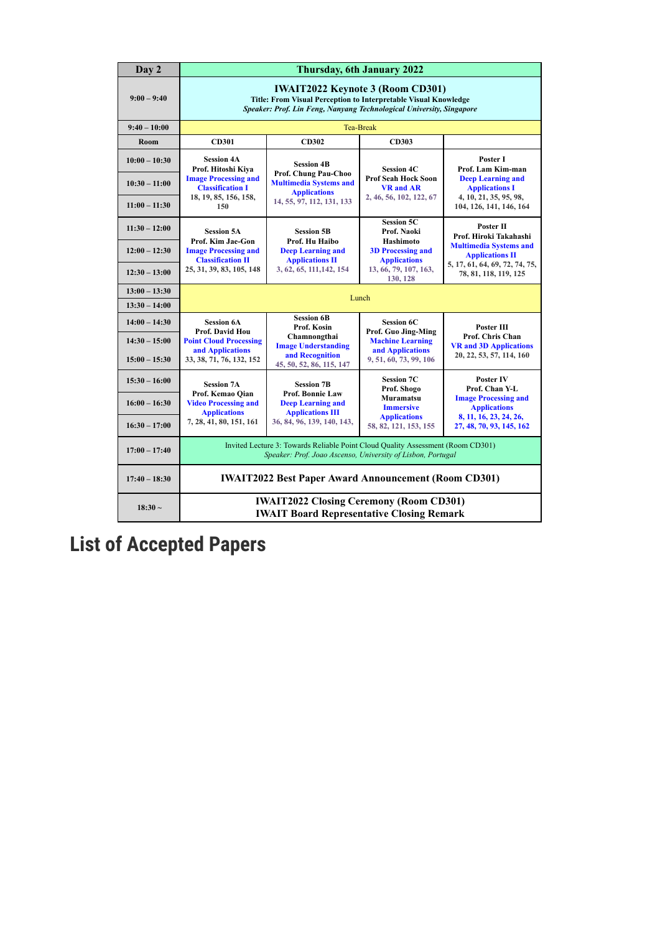| Day 2                              |                                                                                                                                                                                    |                                                                                                                                                | Thursday, 6th January 2022                                                |                                                                             |
|------------------------------------|------------------------------------------------------------------------------------------------------------------------------------------------------------------------------------|------------------------------------------------------------------------------------------------------------------------------------------------|---------------------------------------------------------------------------|-----------------------------------------------------------------------------|
| $9:00 - 9:40$                      | <b>IWAIT2022 Keynote 3 (Room CD301)</b><br>Title: From Visual Perception to Interpretable Visual Knowledge<br>Speaker: Prof. Lin Feng, Nanyang Technological University, Singapore |                                                                                                                                                |                                                                           |                                                                             |
| $9:40 - 10:00$                     |                                                                                                                                                                                    |                                                                                                                                                | <b>Tea-Break</b>                                                          |                                                                             |
| Room                               | <b>CD301</b>                                                                                                                                                                       | CD302                                                                                                                                          | CD303                                                                     |                                                                             |
| $10:00 - 10:30$                    | <b>Session 4A</b><br>Prof. Hitoshi Kiva                                                                                                                                            | <b>Session 4B</b><br>Prof. Chung Pau-Choo                                                                                                      | <b>Session 4C</b>                                                         | Poster I<br>Prof. Lam Kim-man                                               |
| $10:30 - 11:00$                    | <b>Image Processing and</b><br><b>Classification I</b><br>18, 19, 85, 156, 158,                                                                                                    | <b>Multimedia Systems and</b><br><b>Applications</b>                                                                                           | <b>Prof Seah Hock Soon</b><br><b>VR</b> and AR<br>2, 46, 56, 102, 122, 67 | <b>Deep Learning and</b><br><b>Applications I</b><br>4, 10, 21, 35, 95, 98, |
| $11:00 - 11:30$                    | 150                                                                                                                                                                                | 14, 55, 97, 112, 131, 133                                                                                                                      |                                                                           | 104, 126, 141, 146, 164                                                     |
| $11:30 - 12:00$                    | <b>Session 5A</b><br>Prof. Kim Jae-Gon                                                                                                                                             | <b>Session 5B</b><br>Prof. Hu Haibo                                                                                                            | <b>Session 5C</b><br>Prof. Naoki<br>Hashimoto                             | Poster II<br>Prof. Hiroki Takahashi                                         |
| $12:00 - 12:30$                    | <b>Image Processing and</b><br><b>Classification II</b>                                                                                                                            | <b>Deep Learning and</b><br><b>Applications II</b>                                                                                             | <b>3D Processing and</b><br><b>Applications</b>                           | <b>Multimedia Systems and</b><br><b>Applications II</b>                     |
| $12:30 - 13:00$                    | 25, 31, 39, 83, 105, 148                                                                                                                                                           | 3, 62, 65, 111, 142, 154                                                                                                                       | 13, 66, 79, 107, 163,<br>130, 128                                         | 5, 17, 61, 64, 69, 72, 74, 75,<br>78, 81, 118, 119, 125                     |
| $13:00 - 13:30$                    |                                                                                                                                                                                    |                                                                                                                                                | Lunch                                                                     |                                                                             |
| $13:30 - 14:00$                    |                                                                                                                                                                                    |                                                                                                                                                |                                                                           |                                                                             |
| $14:00 - 14:30$                    | <b>Session 6A</b><br>Prof. David Hou                                                                                                                                               | <b>Session 6B</b><br>Prof. Kosin<br>Chamnongthai                                                                                               | <b>Session 6C</b><br>Prof. Guo Jing-Ming                                  | <b>Poster III</b><br>Prof. Chris Chan                                       |
| $14:30 - 15:00$<br>$15:00 - 15:30$ | <b>Point Cloud Processing</b><br>and Applications<br>33, 38, 71, 76, 132, 152                                                                                                      | <b>Image Understanding</b><br>and Recognition<br>45, 50, 52, 86, 115, 147                                                                      | <b>Machine Learning</b><br>and Applications<br>9, 51, 60, 73, 99, 106     | <b>VR and 3D Applications</b><br>20, 22, 53, 57, 114, 160                   |
| $15:30 - 16:00$                    | <b>Session 7A</b>                                                                                                                                                                  | <b>Session 7B</b>                                                                                                                              | <b>Session 7C</b><br>Prof. Shogo                                          | Poster IV<br>Prof. Chan Y-L                                                 |
| $16:00 - 16:30$                    | Prof. Kemao Qian<br><b>Video Processing and</b><br><b>Applications</b>                                                                                                             | <b>Prof. Bonnie Law</b><br><b>Deep Learning and</b><br><b>Applications III</b>                                                                 | Muramatsu<br><b>Immersive</b>                                             | <b>Image Processing and</b><br><b>Applications</b>                          |
| $16:30 - 17:00$                    | 7, 28, 41, 80, 151, 161                                                                                                                                                            | 36, 84, 96, 139, 140, 143,                                                                                                                     | <b>Applications</b><br>58, 82, 121, 153, 155                              | 8, 11, 16, 23, 24, 26,<br>27, 48, 70, 93, 145, 162                          |
| $17:00 - 17:40$                    |                                                                                                                                                                                    | Invited Lecture 3: Towards Reliable Point Cloud Quality Assessment (Room CD301)<br>Speaker: Prof. Joao Ascenso, University of Lisbon, Portugal |                                                                           |                                                                             |
| $17:40 - 18:30$                    |                                                                                                                                                                                    | <b>IWAIT2022 Best Paper Award Announcement (Room CD301)</b>                                                                                    |                                                                           |                                                                             |
| $18:30 -$                          |                                                                                                                                                                                    | <b>IWAIT2022 Closing Ceremony (Room CD301)</b><br><b>IWAIT Board Representative Closing Remark</b>                                             |                                                                           |                                                                             |

## **List of Accepted Papers**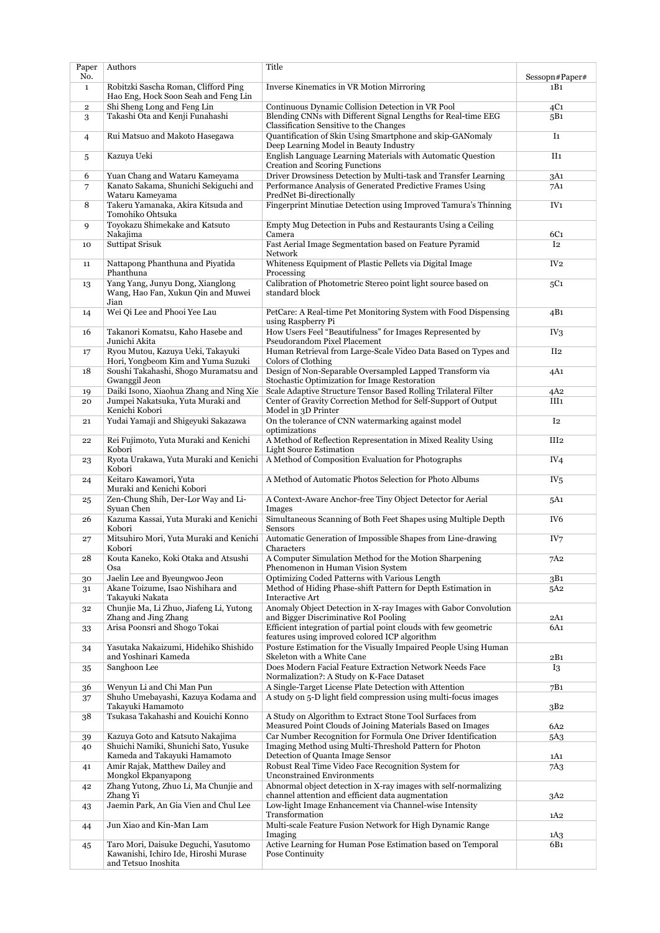| Paper<br>No. | Authors                                                                                        | Title                                                                                                                             | Sessopn#Paper#   |
|--------------|------------------------------------------------------------------------------------------------|-----------------------------------------------------------------------------------------------------------------------------------|------------------|
| $\mathbf{1}$ | Robitzki Sascha Roman, Clifford Ping<br>Hao Eng, Hock Soon Seah and Feng Lin                   | <b>Inverse Kinematics in VR Motion Mirroring</b>                                                                                  | 1B1              |
| $\mathbf{2}$ | Shi Sheng Long and Feng Lin                                                                    | Continuous Dynamic Collision Detection in VR Pool                                                                                 | 4C1              |
| 3            | Takashi Ota and Kenji Funahashi                                                                | Blending CNNs with Different Signal Lengths for Real-time EEG<br>Classification Sensitive to the Changes                          | 5B1              |
| 4            | Rui Matsuo and Makoto Hasegawa                                                                 | Quantification of Skin Using Smartphone and skip-GANomaly<br>Deep Learning Model in Beauty Industry                               | I <sub>1</sub>   |
| 5            | Kazuya Ueki                                                                                    | English Language Learning Materials with Automatic Question<br>Creation and Scoring Functions                                     | II1              |
| 6            | Yuan Chang and Wataru Kameyama                                                                 | Driver Drowsiness Detection by Multi-task and Transfer Learning                                                                   | 3A1              |
| 7            | Kanato Sakama, Shunichi Sekiguchi and                                                          | Performance Analysis of Generated Predictive Frames Using                                                                         | 7A1              |
|              | Wataru Kameyama                                                                                | PredNet Bi-directionally                                                                                                          | IV <sub>1</sub>  |
| 8            | Takeru Yamanaka, Akira Kitsuda and<br>Tomohiko Ohtsuka<br>Toyokazu Shimekake and Katsuto       | Fingerprint Minutiae Detection using Improved Tamura's Thinning                                                                   |                  |
| 9            | Nakajima                                                                                       | Empty Mug Detection in Pubs and Restaurants Using a Ceiling<br>Camera                                                             | 6C1              |
| 10           | <b>Suttipat Srisuk</b>                                                                         | Fast Aerial Image Segmentation based on Feature Pyramid<br>Network                                                                | I <sub>2</sub>   |
| 11           | Nattapong Phanthuna and Piyatida<br>Phanthuna                                                  | Whiteness Equipment of Plastic Pellets via Digital Image<br>Processing                                                            | IV <sub>2</sub>  |
| 13           | Yang Yang, Junyu Dong, Xianglong<br>Wang, Hao Fan, Xukun Qin and Muwei<br>Jian                 | Calibration of Photometric Stereo point light source based on<br>standard block                                                   | 5C1              |
| 14           | Wei Qi Lee and Phooi Yee Lau                                                                   | PetCare: A Real-time Pet Monitoring System with Food Dispensing<br>using Raspberry Pi                                             | 4B1              |
| 16           | Takanori Komatsu, Kaho Hasebe and<br>Junichi Akita                                             | How Users Feel "Beautifulness" for Images Represented by<br>Pseudorandom Pixel Placement                                          | IV <sub>3</sub>  |
| 17           | Ryou Mutou, Kazuya Ueki, Takayuki<br>Hori, Yongbeom Kim and Yuma Suzuki                        | Human Retrieval from Large-Scale Video Data Based on Types and<br>Colors of Clothing                                              | II <sub>2</sub>  |
| 18           | Soushi Takahashi, Shogo Muramatsu and                                                          | Design of Non-Separable Oversampled Lapped Transform via                                                                          | 4A1              |
|              | Gwanggil Jeon                                                                                  | Stochastic Optimization for Image Restoration                                                                                     |                  |
| 19<br>20     | Daiki Isono, Xiaohua Zhang and Ning Xie<br>Jumpei Nakatsuka, Yuta Muraki and<br>Kenichi Kobori | Scale Adaptive Structure Tensor Based Rolling Trilateral Filter<br>Center of Gravity Correction Method for Self-Support of Output | 4A2<br>III1      |
| 21           | Yudai Yamaji and Shigeyuki Sakazawa                                                            | Model in 3D Printer<br>On the tolerance of CNN watermarking against model                                                         | I <sub>2</sub>   |
| 22           | Rei Fujimoto, Yuta Muraki and Kenichi                                                          | optimizations<br>A Method of Reflection Representation in Mixed Reality Using                                                     | III <sub>2</sub> |
| 23           | Kobori<br>Ryota Urakawa, Yuta Muraki and Kenichi                                               | <b>Light Source Estimation</b><br>A Method of Composition Evaluation for Photographs                                              | IV <sub>4</sub>  |
| 24           | Kobori<br>Keitaro Kawamori, Yuta                                                               | A Method of Automatic Photos Selection for Photo Albums                                                                           | IV <sub>5</sub>  |
| 25           | Muraki and Kenichi Kobori<br>Zen-Chung Shih, Der-Lor Way and Li-                               | A Context-Aware Anchor-free Tiny Object Detector for Aerial                                                                       | 5A1              |
| 26           | Syuan Chen<br>Kazuma Kassai, Yuta Muraki and Kenichi                                           | Images<br>Simultaneous Scanning of Both Feet Shapes using Multiple Depth                                                          | IV <sub>6</sub>  |
| 27           | Kobori<br>Mitsuhiro Mori, Yuta Muraki and Kenichi                                              | Sensors<br>Automatic Generation of Impossible Shapes from Line-drawing                                                            | IV7              |
| 28           | Kobori<br>Kouta Kaneko, Koki Otaka and Atsushi                                                 | Characters<br>A Computer Simulation Method for the Motion Sharpening                                                              | 7A2              |
|              | Osa                                                                                            | Phenomenon in Human Vision System                                                                                                 |                  |
| 30           | Jaelin Lee and Byeungwoo Jeon<br>Akane Toizume, Isao Nishihara and                             | Optimizing Coded Patterns with Various Length<br>Method of Hiding Phase-shift Pattern for Depth Estimation in                     | 3B1              |
| 31           | Takayuki Nakata                                                                                | Interactive Art                                                                                                                   | 5A2              |
| 32           | Chunjie Ma, Li Zhuo, Jiafeng Li, Yutong<br>Zhang and Jing Zhang                                | Anomaly Object Detection in X-ray Images with Gabor Convolution<br>and Bigger Discriminative RoI Pooling                          | 2A1              |
| 33           | Arisa Poonsri and Shogo Tokai                                                                  | Efficient integration of partial point clouds with few geometric<br>features using improved colored ICP algorithm                 | 6A1              |
| 34           | Yasutaka Nakaizumi, Hidehiko Shishido<br>and Yoshinari Kameda                                  | Posture Estimation for the Visually Impaired People Using Human<br>Skeleton with a White Cane                                     | 2B1              |
| 35           | Sanghoon Lee                                                                                   | Does Modern Facial Feature Extraction Network Needs Face<br>Normalization?: A Study on K-Face Dataset                             | <b>I3</b>        |
| 36           | Wenyun Li and Chi Man Pun                                                                      | A Single-Target License Plate Detection with Attention                                                                            | 7B1              |
| 37           | Shuho Umebayashi, Kazuya Kodama and                                                            | A study on 5-D light field compression using multi-focus images                                                                   |                  |
| 38           | Takayuki Hamamoto<br>Tsukasa Takahashi and Kouichi Konno                                       | A Study on Algorithm to Extract Stone Tool Surfaces from                                                                          | 3B2              |
|              |                                                                                                | Measured Point Clouds of Joining Materials Based on Images                                                                        | 6A2              |
| 39           | Kazuya Goto and Katsuto Nakajima<br>Shuichi Namiki, Shunichi Sato, Yusuke                      | Car Number Recognition for Formula One Driver Identification<br>Imaging Method using Multi-Threshold Pattern for Photon           | 5A3              |
| 40           | Kameda and Takayuki Hamamoto                                                                   | Detection of Quanta Image Sensor                                                                                                  | 1A1              |
| 41           | Amir Rajak, Matthew Dailey and<br>Mongkol Ekpanyapong                                          | Robust Real Time Video Face Recognition System for<br><b>Unconstrained Environments</b>                                           | 7A3              |
| 42           | Zhang Yutong, Zhuo Li, Ma Chunjie and<br>Zhang Yi                                              | Abnormal object detection in X-ray images with self-normalizing<br>channel attention and efficient data augmentation              | 3A2              |
| 43           | Jaemin Park, An Gia Vien and Chul Lee                                                          | Low-light Image Enhancement via Channel-wise Intensity<br>Transformation                                                          |                  |
| 44           | Jun Xiao and Kin-Man Lam                                                                       | Multi-scale Feature Fusion Network for High Dynamic Range                                                                         | 1A2              |
| 45           | Taro Mori, Daisuke Deguchi, Yasutomo                                                           | Imaging<br>Active Learning for Human Pose Estimation based on Temporal                                                            | 1A3<br>6B1       |
|              | Kawanishi, Ichiro Ide, Hiroshi Murase<br>and Tetsuo Inoshita                                   | Pose Continuity                                                                                                                   |                  |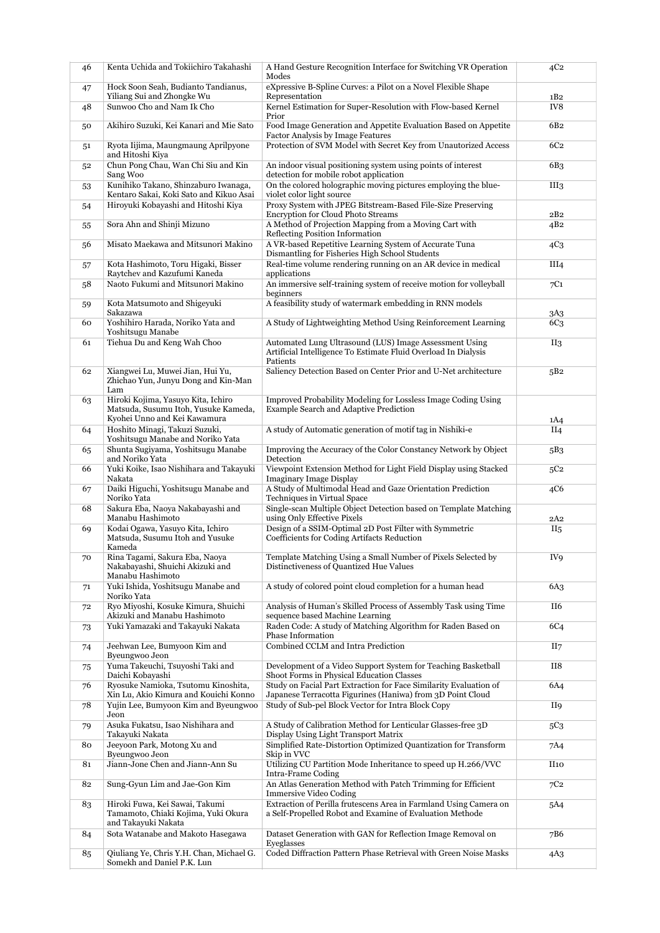| 46     | Kenta Uchida and Tokiichiro Takahashi                                                                      | A Hand Gesture Recognition Interface for Switching VR Operation<br>Modes                                                             | 4C <sub>2</sub>  |
|--------|------------------------------------------------------------------------------------------------------------|--------------------------------------------------------------------------------------------------------------------------------------|------------------|
| 47     | Hock Soon Seah, Budianto Tandianus,                                                                        | eXpressive B-Spline Curves: a Pilot on a Novel Flexible Shape                                                                        |                  |
| 48     | Yiliang Sui and Zhongke Wu<br>Sunwoo Cho and Nam Ik Cho                                                    | Representation<br>Kernel Estimation for Super-Resolution with Flow-based Kernel                                                      | 1B2<br>IV8       |
| 50     | Akihiro Suzuki, Kei Kanari and Mie Sato                                                                    | Prior<br>Food Image Generation and Appetite Evaluation Based on Appetite<br>Factor Analysis by Image Features                        | 6B <sub>2</sub>  |
| 51     | Ryota Iijima, Maungmaung Aprilpyone<br>and Hitoshi Kiya                                                    | Protection of SVM Model with Secret Key from Unautorized Access                                                                      | 6C <sub>2</sub>  |
| 52     | Chun Pong Chau, Wan Chi Siu and Kin<br>Sang Woo                                                            | An indoor visual positioning system using points of interest<br>detection for mobile robot application                               | 6B <sub>3</sub>  |
| 53     | Kunihiko Takano, Shinzaburo Iwanaga,<br>Kentaro Sakai, Koki Sato and Kikuo Asai                            | On the colored holographic moving pictures employing the blue-<br>violet color light source                                          | III <sub>3</sub> |
| 54     | Hiroyuki Kobayashi and Hitoshi Kiya                                                                        | Proxy System with JPEG Bitstream-Based File-Size Preserving<br><b>Encryption for Cloud Photo Streams</b>                             | 2B2              |
| 55     | Sora Ahn and Shinji Mizuno                                                                                 | A Method of Projection Mapping from a Moving Cart with<br>Reflecting Position Information                                            | 4B <sub>2</sub>  |
| 56     | Misato Maekawa and Mitsunori Makino                                                                        | A VR-based Repetitive Learning System of Accurate Tuna<br>Dismantling for Fisheries High School Students                             | 4C <sub>3</sub>  |
| 57     | Kota Hashimoto, Toru Higaki, Bisser<br>Raytchev and Kazufumi Kaneda                                        | Real-time volume rendering running on an AR device in medical<br>applications                                                        | III <sub>4</sub> |
| 58     | Naoto Fukumi and Mitsunori Makino                                                                          | An immersive self-training system of receive motion for volleyball<br>beginners                                                      | 7C1              |
| 59     | Kota Matsumoto and Shigeyuki<br>Sakazawa                                                                   | A feasibility study of watermark embedding in RNN models                                                                             | 3A3              |
| 60     | Yoshihiro Harada, Noriko Yata and<br>Yoshitsugu Manabe                                                     | A Study of Lightweighting Method Using Reinforcement Learning                                                                        | 6C <sub>3</sub>  |
| 61     | Tiehua Du and Keng Wah Choo                                                                                | Automated Lung Ultrasound (LUS) Image Assessment Using<br>Artificial Intelligence To Estimate Fluid Overload In Dialysis<br>Patients | II <sub>3</sub>  |
| 62     | Xiangwei Lu, Muwei Jian, Hui Yu,<br>Zhichao Yun, Junyu Dong and Kin-Man<br>Lam                             | Saliency Detection Based on Center Prior and U-Net architecture                                                                      | 5B2              |
| 63     | Hiroki Kojima, Yasuyo Kita, Ichiro<br>Matsuda, Susumu Itoh, Yusuke Kameda,<br>Kyohei Unno and Kei Kawamura | Improved Probability Modeling for Lossless Image Coding Using<br>Example Search and Adaptive Prediction                              | 1A4              |
| 64     | Hoshito Minagi, Takuzi Suzuki,<br>Yoshitsugu Manabe and Noriko Yata                                        | A study of Automatic generation of motif tag in Nishiki-e                                                                            | II <sub>4</sub>  |
| 65     | Shunta Sugiyama, Yoshitsugu Manabe<br>and Noriko Yata                                                      | Improving the Accuracy of the Color Constancy Network by Object<br>Detection                                                         | 5B <sub>3</sub>  |
| 66     | Yuki Koike, Isao Nishihara and Takayuki<br>Nakata                                                          | Viewpoint Extension Method for Light Field Display using Stacked<br><b>Imaginary Image Display</b>                                   | 5C <sub>2</sub>  |
| 67     | Daiki Higuchi, Yoshitsugu Manabe and<br>Noriko Yata                                                        | A Study of Multimodal Head and Gaze Orientation Prediction<br>Techniques in Virtual Space                                            | 4C6              |
| 68     | Sakura Eba, Naoya Nakabayashi and<br>Manabu Hashimoto                                                      | Single-scan Multiple Object Detection based on Template Matching<br>using Only Effective Pixels                                      | 2A2              |
| 69     | Kodai Ogawa, Yasuyo Kita, Ichiro<br>Matsuda, Susumu Itoh and Yusuke<br>Kameda                              | Design of a SSIM-Optimal 2D Post Filter with Symmetric<br>Coefficients for Coding Artifacts Reduction                                | II <sub>5</sub>  |
| 70     | Rina Tagami, Sakura Eba, Naoya<br>Nakabayashi, Shuichi Akizuki and<br>Manabu Hashimoto                     | Template Matching Using a Small Number of Pixels Selected by<br>Distinctiveness of Quantized Hue Values                              | IV9              |
| 71     | Yuki Ishida, Yoshitsugu Manabe and<br>Noriko Yata                                                          | A study of colored point cloud completion for a human head                                                                           | 6A3              |
| 72     | Ryo Miyoshi, Kosuke Kimura, Shuichi<br>Akizuki and Manabu Hashimoto                                        | Analysis of Human's Skilled Process of Assembly Task using Time<br>sequence based Machine Learning                                   | II6              |
| 73     | Yuki Yamazaki and Takayuki Nakata                                                                          | Raden Code: A study of Matching Algorithm for Raden Based on<br>Phase Information                                                    | 6C <sub>4</sub>  |
| 74     | Jeehwan Lee, Bumyoon Kim and<br>Byeungwoo Jeon                                                             | Combined CCLM and Intra Prediction                                                                                                   | II7              |
| 75     | Yuma Takeuchi, Tsuyoshi Taki and<br>Daichi Kobayashi                                                       | Development of a Video Support System for Teaching Basketball<br>Shoot Forms in Physical Education Classes                           | II8              |
| 76     | Ryosuke Namioka, Tsutomu Kinoshita,<br>Xin Lu, Akio Kimura and Kouichi Konno                               | Study on Facial Part Extraction for Face Similarity Evaluation of<br>Japanese Terracotta Figurines (Haniwa) from 3D Point Cloud      | 6A4              |
| 78     | Yujin Lee, Bumyoon Kim and Byeungwoo<br>Jeon                                                               | Study of Sub-pel Block Vector for Intra Block Copy                                                                                   | II9              |
| 79     | Asuka Fukatsu, Isao Nishihara and<br>Takayuki Nakata                                                       | A Study of Calibration Method for Lenticular Glasses-free 3D<br>Display Using Light Transport Matrix                                 | 5C <sub>3</sub>  |
| 80     | Jeeyoon Park, Motong Xu and<br>Byeungwoo Jeon                                                              | Simplified Rate-Distortion Optimized Quantization for Transform<br>Skip in VVC                                                       | 7A4              |
| 81     | Jiann-Jone Chen and Jiann-Ann Su                                                                           | Utilizing CU Partition Mode Inheritance to speed up H.266/VVC<br>Intra-Frame Coding                                                  | II <sub>10</sub> |
| 82     | Sung-Gyun Lim and Jae-Gon Kim                                                                              | An Atlas Generation Method with Patch Trimming for Efficient<br><b>Immersive Video Coding</b>                                        | 7C2              |
| 83     | Hiroki Fuwa, Kei Sawai, Takumi<br>Tamamoto, Chiaki Kojima, Yuki Okura<br>and Takayuki Nakata               | Extraction of Perilla frutescens Area in Farmland Using Camera on<br>a Self-Propelled Robot and Examine of Evaluation Methode        | 5A4              |
| 84     | Sota Watanabe and Makoto Hasegawa                                                                          | Dataset Generation with GAN for Reflection Image Removal on<br>Eyeglasses                                                            | 7B6              |
| $85\,$ | Qiuliang Ye, Chris Y.H. Chan, Michael G.<br>Somekh and Daniel P.K. Lun                                     | Coded Diffraction Pattern Phase Retrieval with Green Noise Masks                                                                     | 4A3              |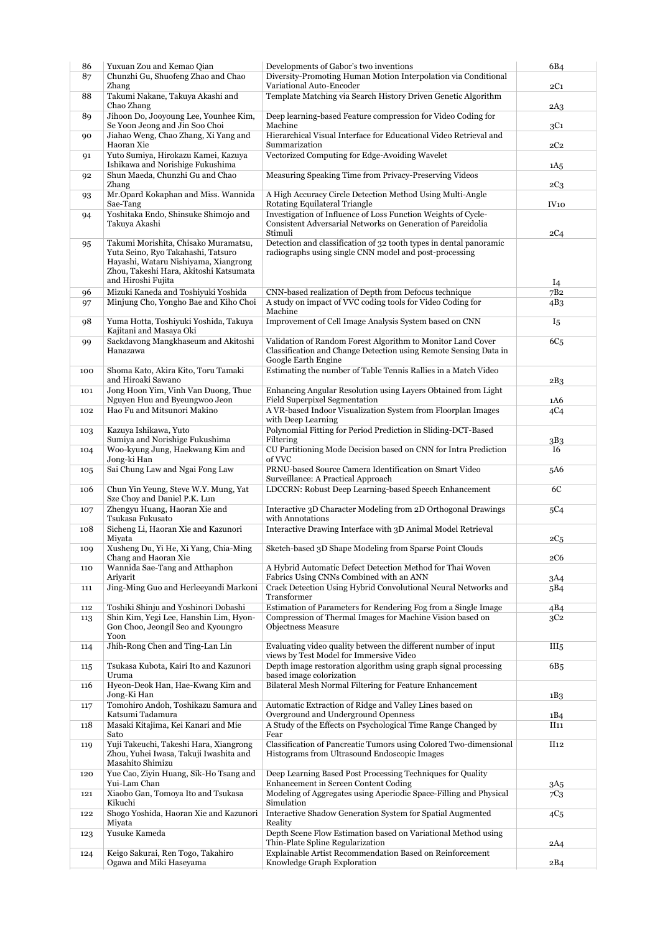| 86  | Yuxuan Zou and Kemao Qian                                                                                                                                                          | Developments of Gabor's two inventions                                                                                                                 | 6B4              |
|-----|------------------------------------------------------------------------------------------------------------------------------------------------------------------------------------|--------------------------------------------------------------------------------------------------------------------------------------------------------|------------------|
| 87  | Chunzhi Gu, Shuofeng Zhao and Chao<br>Zhang                                                                                                                                        | Diversity-Promoting Human Motion Interpolation via Conditional<br>Variational Auto-Encoder                                                             | 2C1              |
| 88  | Takumi Nakane, Takuya Akashi and<br>Chao Zhang                                                                                                                                     | Template Matching via Search History Driven Genetic Algorithm                                                                                          |                  |
| 89  | Jihoon Do, Jooyoung Lee, Younhee Kim,<br>Se Yoon Jeong and Jin Soo Choi                                                                                                            | Deep learning-based Feature compression for Video Coding for<br>Machine                                                                                | 2A3<br>3C1       |
| 90  | Jiahao Weng, Chao Zhang, Xi Yang and<br>Haoran Xie                                                                                                                                 | Hierarchical Visual Interface for Educational Video Retrieval and<br>Summarization                                                                     | 2C <sub>2</sub>  |
| 91  | Yuto Sumiya, Hirokazu Kamei, Kazuya                                                                                                                                                | Vectorized Computing for Edge-Avoiding Wavelet                                                                                                         |                  |
| 92  | Ishikawa and Norishige Fukushima<br>Shun Maeda, Chunzhi Gu and Chao                                                                                                                | Measuring Speaking Time from Privacy-Preserving Videos                                                                                                 | 1A5              |
| 93  | Zhang<br>Mr.Opard Kokaphan and Miss. Wannida                                                                                                                                       | A High Accuracy Circle Detection Method Using Multi-Angle                                                                                              | $2C_3$           |
|     | Sae-Tang                                                                                                                                                                           | Rotating Equilateral Triangle<br>Investigation of Influence of Loss Function Weights of Cycle-                                                         | IV <sub>10</sub> |
| 94  | Yoshitaka Endo, Shinsuke Shimojo and<br>Takuya Akashi                                                                                                                              | Consistent Adversarial Networks on Generation of Pareidolia<br>Stimuli                                                                                 | 2C4              |
| 95  | Takumi Morishita, Chisako Muramatsu,<br>Yuta Seino, Ryo Takahashi, Tatsuro<br>Hayashi, Wataru Nishiyama, Xiangrong<br>Zhou, Takeshi Hara, Akitoshi Katsumata<br>and Hiroshi Fujita | Detection and classification of 32 tooth types in dental panoramic<br>radiographs using single CNN model and post-processing                           | $I_4$            |
| 96  | Mizuki Kaneda and Toshiyuki Yoshida                                                                                                                                                | CNN-based realization of Depth from Defocus technique                                                                                                  | 7B <sub>2</sub>  |
| 97  | Minjung Cho, Yongho Bae and Kiho Choi                                                                                                                                              | A study on impact of VVC coding tools for Video Coding for<br>Machine                                                                                  | 4B3              |
| 98  | Yuma Hotta, Toshiyuki Yoshida, Takuya<br>Kajitani and Masaya Oki                                                                                                                   | Improvement of Cell Image Analysis System based on CNN                                                                                                 | I5               |
| 99  | Sackdavong Mangkhaseum and Akitoshi<br>Hanazawa                                                                                                                                    | Validation of Random Forest Algorithm to Monitor Land Cover<br>Classification and Change Detection using Remote Sensing Data in<br>Google Earth Engine | 6C <sub>5</sub>  |
| 100 | Shoma Kato, Akira Kito, Toru Tamaki<br>and Hiroaki Sawano                                                                                                                          | Estimating the number of Table Tennis Rallies in a Match Video                                                                                         | 2B3              |
| 101 | Jong Hoon Yim, Vinh Van Duong, Thuc<br>Nguyen Huu and Byeungwoo Jeon                                                                                                               | Enhancing Angular Resolution using Layers Obtained from Light<br>Field Superpixel Segmentation                                                         | 1A6              |
| 102 | Hao Fu and Mitsunori Makino                                                                                                                                                        | A VR-based Indoor Visualization System from Floorplan Images<br>with Deep Learning                                                                     | 4C4              |
| 103 | Kazuya Ishikawa, Yuto<br>Sumiya and Norishige Fukushima                                                                                                                            | Polynomial Fitting for Period Prediction in Sliding-DCT-Based                                                                                          |                  |
| 104 | Woo-kyung Jung, Haekwang Kim and                                                                                                                                                   | Filtering<br>CU Partitioning Mode Decision based on CNN for Intra Prediction                                                                           | 3B3<br><b>I6</b> |
| 105 | Jong-ki Han<br>Sai Chung Law and Ngai Fong Law                                                                                                                                     | of VVC<br>PRNU-based Source Camera Identification on Smart Video                                                                                       | 5A6              |
| 106 | Chun Yin Yeung, Steve W.Y. Mung, Yat                                                                                                                                               | Surveillance: A Practical Approach<br>LDCCRN: Robust Deep Learning-based Speech Enhancement                                                            | 6C               |
| 107 | Sze Choy and Daniel P.K. Lun<br>Zhengyu Huang, Haoran Xie and                                                                                                                      | Interactive 3D Character Modeling from 2D Orthogonal Drawings                                                                                          | 5C4              |
| 108 | Tsukasa Fukusato<br>Sicheng Li, Haoran Xie and Kazunori                                                                                                                            | with Annotations<br>Interactive Drawing Interface with 3D Animal Model Retrieval                                                                       |                  |
|     | Miyata                                                                                                                                                                             |                                                                                                                                                        | 2C5              |
| 109 | Xusheng Du, Yi He, Xi Yang, Chia-Ming<br>Chang and Haoran Xie                                                                                                                      | Sketch-based 3D Shape Modeling from Sparse Point Clouds                                                                                                | $2\mathrm{C6}$   |
| 110 | Wannida Sae-Tang and Atthaphon<br>Ariyarit                                                                                                                                         | A Hybrid Automatic Defect Detection Method for Thai Woven<br>Fabrics Using CNNs Combined with an ANN                                                   | 3A4              |
| 111 | Jing-Ming Guo and Herleeyandi Markoni                                                                                                                                              | Crack Detection Using Hybrid Convolutional Neural Networks and<br>Transformer                                                                          | 5B4              |
| 112 | Toshiki Shinju and Yoshinori Dobashi                                                                                                                                               | Estimation of Parameters for Rendering Fog from a Single Image                                                                                         | 4B4              |
| 113 | Shin Kim, Yegi Lee, Hanshin Lim, Hyon-<br>Gon Choo, Jeongil Seo and Kyoungro<br>Yoon                                                                                               | Compression of Thermal Images for Machine Vision based on<br><b>Objectness Measure</b>                                                                 | 3C2              |
| 114 | Jhih-Rong Chen and Ting-Lan Lin                                                                                                                                                    | Evaluating video quality between the different number of input<br>views by Test Model for Immersive Video                                              | III <sub>5</sub> |
| 115 | Tsukasa Kubota, Kairi Ito and Kazunori<br>Uruma                                                                                                                                    | Depth image restoration algorithm using graph signal processing<br>based image colorization                                                            | 6B5              |
| 116 | Hyeon-Deok Han, Hae-Kwang Kim and<br>Jong-Ki Han                                                                                                                                   | Bilateral Mesh Normal Filtering for Feature Enhancement                                                                                                | 1B <sub>3</sub>  |
| 117 | Tomohiro Andoh, Toshikazu Samura and<br>Katsumi Tadamura                                                                                                                           | Automatic Extraction of Ridge and Valley Lines based on<br>Overground and Underground Openness                                                         | 1B4              |
| 118 | Masaki Kitajima, Kei Kanari and Mie<br>Sato                                                                                                                                        | A Study of the Effects on Psychological Time Range Changed by<br>Fear                                                                                  | II11             |
| 119 | Yuji Takeuchi, Takeshi Hara, Xiangrong<br>Zhou, Yuhei Iwasa, Takuji Iwashita and                                                                                                   | Classification of Pancreatic Tumors using Colored Two-dimensional<br>Histograms from Ultrasound Endoscopic Images                                      | II <sub>12</sub> |
| 120 | Masahito Shimizu<br>Yue Cao, Ziyin Huang, Sik-Ho Tsang and                                                                                                                         | Deep Learning Based Post Processing Techniques for Quality                                                                                             |                  |
| 121 | Yui-Lam Chan<br>Xiaobo Gan, Tomoya Ito and Tsukasa                                                                                                                                 | Enhancement in Screen Content Coding<br>Modeling of Aggregates using Aperiodic Space-Filling and Physical                                              | 3A5<br>7C3       |
| 122 | Kikuchi<br>Shogo Yoshida, Haoran Xie and Kazunori                                                                                                                                  | Simulation<br>Interactive Shadow Generation System for Spatial Augmented                                                                               | 4C <sub>5</sub>  |
|     | Miyata<br>Yusuke Kameda                                                                                                                                                            | Reality<br>Depth Scene Flow Estimation based on Variational Method using                                                                               |                  |
| 123 |                                                                                                                                                                                    | Thin-Plate Spline Regularization                                                                                                                       | 2A4              |
| 124 | Keigo Sakurai, Ren Togo, Takahiro<br>Ogawa and Miki Haseyama                                                                                                                       | Explainable Artist Recommendation Based on Reinforcement<br>Knowledge Graph Exploration                                                                | 2B4              |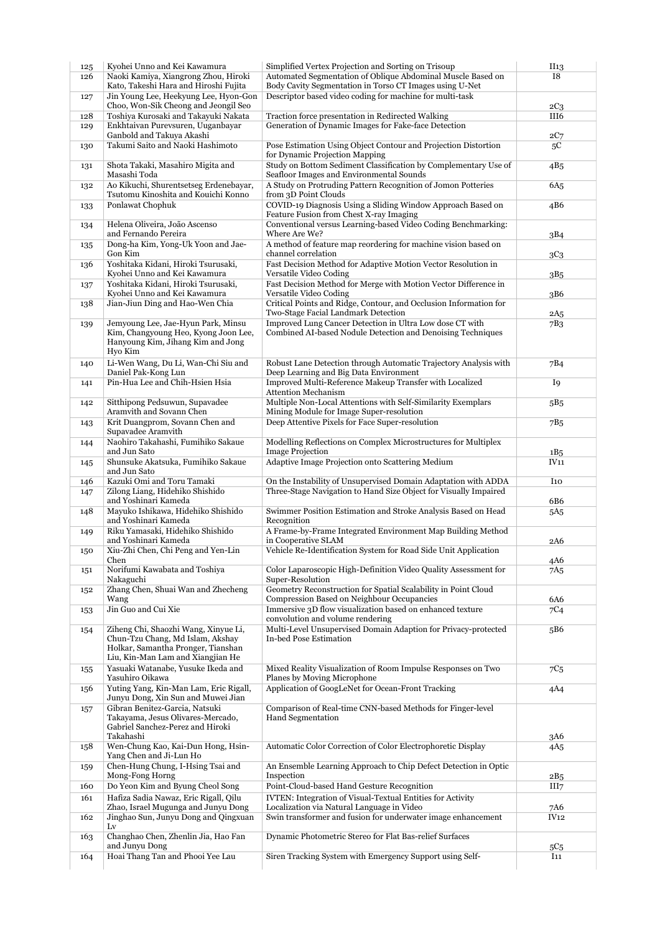| Kyohei Unno and Kei Kawamura                                                                                                                  | Simplified Vertex Projection and Sorting on Trisoup                                                                     | II <sub>13</sub>                                         |
|-----------------------------------------------------------------------------------------------------------------------------------------------|-------------------------------------------------------------------------------------------------------------------------|----------------------------------------------------------|
| Naoki Kamiya, Xiangrong Zhou, Hiroki                                                                                                          | Automated Segmentation of Oblique Abdominal Muscle Based on                                                             | 18                                                       |
| Kato, Takeshi Hara and Hiroshi Fujita                                                                                                         | Body Cavity Segmentation in Torso CT Images using U-Net<br>Descriptor based video coding for machine for multi-task     |                                                          |
| Jin Young Lee, Heekyung Lee, Hyon-Gon<br>Choo, Won-Sik Cheong and Jeongil Seo                                                                 |                                                                                                                         | $2C_3$                                                   |
| Toshiya Kurosaki and Takayuki Nakata                                                                                                          | Traction force presentation in Redirected Walking                                                                       | III6                                                     |
| Enkhtaivan Purevsuren, Uuganbayar                                                                                                             | Generation of Dynamic Images for Fake-face Detection                                                                    |                                                          |
| Ganbold and Takuya Akashi                                                                                                                     |                                                                                                                         | 2C7                                                      |
| Takumi Saito and Naoki Hashimoto                                                                                                              | Pose Estimation Using Object Contour and Projection Distortion<br>for Dynamic Projection Mapping                        | 5C                                                       |
| Shota Takaki, Masahiro Migita and                                                                                                             | Study on Bottom Sediment Classification by Complementary Use of<br>Seafloor Images and Environmental Sounds             | 4B5                                                      |
| Ao Kikuchi, Shurentsetseg Erdenebayar,<br>Tsutomu Kinoshita and Kouichi Konno                                                                 | A Study on Protruding Pattern Recognition of Jomon Potteries<br>from 3D Point Clouds                                    | 6A <sub>5</sub>                                          |
| Ponlawat Chophuk                                                                                                                              | COVID-19 Diagnosis Using a Sliding Window Approach Based on<br>Feature Fusion from Chest X-ray Imaging                  | 4B6                                                      |
| Helena Oliveira, João Ascenso<br>and Fernando Pereira                                                                                         | Conventional versus Learning-based Video Coding Benchmarking:<br>Where Are We?                                          | 3B4                                                      |
| Dong-ha Kim, Yong-Uk Yoon and Jae-                                                                                                            | A method of feature map reordering for machine vision based on<br>channel correlation                                   |                                                          |
| Yoshitaka Kidani, Hiroki Tsurusaki,                                                                                                           | Fast Decision Method for Adaptive Motion Vector Resolution in                                                           | 3C <sub>3</sub>                                          |
| Kyohei Unno and Kei Kawamura<br>Yoshitaka Kidani, Hiroki Tsurusaki,                                                                           | Versatile Video Coding<br>Fast Decision Method for Merge with Motion Vector Difference in                               | 3B5                                                      |
| Kyohei Unno and Kei Kawamura                                                                                                                  | Versatile Video Coding                                                                                                  | 3B6                                                      |
| Jian-Jiun Ding and Hao-Wen Chia                                                                                                               | Critical Points and Ridge, Contour, and Occlusion Information for<br>Two-Stage Facial Landmark Detection                | 2A <sub>5</sub>                                          |
| Jemyoung Lee, Jae-Hyun Park, Minsu<br>Kim, Changyoung Heo, Kyong Joon Lee,<br>Hanyoung Kim, Jihang Kim and Jong                               | Improved Lung Cancer Detection in Ultra Low dose CT with<br>Combined AI-based Nodule Detection and Denoising Techniques | 7B <sub>3</sub>                                          |
| Li-Wen Wang, Du Li, Wan-Chi Siu and<br>Daniel Pak-Kong Lun                                                                                    | Robust Lane Detection through Automatic Trajectory Analysis with<br>Deep Learning and Big Data Environment              | 7B4                                                      |
| Pin-Hua Lee and Chih-Hsien Hsia                                                                                                               | Improved Multi-Reference Makeup Transfer with Localized<br><b>Attention Mechanism</b>                                   | I9                                                       |
| Sitthipong Pedsuwun, Supavadee<br>Aramvith and Sovann Chen                                                                                    | Multiple Non-Local Attentions with Self-Similarity Exemplars<br>Mining Module for Image Super-resolution                | 5B5                                                      |
| Krit Duangprom, Sovann Chen and<br>Supavadee Aramvith                                                                                         | Deep Attentive Pixels for Face Super-resolution                                                                         | 7B5                                                      |
| Naohiro Takahashi, Fumihiko Sakaue                                                                                                            | Modelling Reflections on Complex Microstructures for Multiplex<br><b>Image Projection</b>                               | 1B5                                                      |
| Shunsuke Akatsuka, Fumihiko Sakaue                                                                                                            | Adaptive Image Projection onto Scattering Medium                                                                        | IV <sub>11</sub>                                         |
| Kazuki Omi and Toru Tamaki                                                                                                                    | On the Instability of Unsupervised Domain Adaptation with ADDA                                                          | I10                                                      |
| Zilong Liang, Hidehiko Shishido<br>and Yoshinari Kameda                                                                                       | Three-Stage Navigation to Hand Size Object for Visually Impaired                                                        | 6B6                                                      |
| Mayuko Ishikawa, Hidehiko Shishido<br>and Yoshinari Kameda                                                                                    | Swimmer Position Estimation and Stroke Analysis Based on Head<br>Recognition                                            | 5A5                                                      |
| Riku Yamasaki, Hidehiko Shishido                                                                                                              | A Frame-by-Frame Integrated Environment Map Building Method                                                             |                                                          |
| and Yoshinari Kameda<br>Xiu-Zhi Chen, Chi Peng and Yen-Lin                                                                                    | in Cooperative SLAM<br>Vehicle Re-Identification System for Road Side Unit Application                                  | 2A6                                                      |
|                                                                                                                                               |                                                                                                                         | 4A6                                                      |
| Norifumi Kawabata and Toshiya                                                                                                                 | Color Laparoscopic High-Definition Video Quality Assessment for<br>Super-Resolution                                     | 7A5                                                      |
| Zhang Chen, Shuai Wan and Zhecheng                                                                                                            | Geometry Reconstruction for Spatial Scalability in Point Cloud                                                          |                                                          |
| Jin Guo and Cui Xie                                                                                                                           | Compression Based on Neighbour Occupancies<br>Immersive 3D flow visualization based on enhanced texture                 | 6A6<br>7C <sub>4</sub>                                   |
| Ziheng Chi, Shaozhi Wang, Xinyue Li,                                                                                                          | convolution and volume rendering<br>Multi-Level Unsupervised Domain Adaption for Privacy-protected                      | 5B6                                                      |
| Chun-Tzu Chang, Md Islam, Akshay<br>Holkar, Samantha Pronger, Tianshan<br>Liu, Kin-Man Lam and Xiangjian He                                   | In-bed Pose Estimation                                                                                                  |                                                          |
| Yasuaki Watanabe, Yusuke Ikeda and<br>Yasuhiro Oikawa                                                                                         | Mixed Reality Visualization of Room Impulse Responses on Two<br>Planes by Moving Microphone                             | $7C5$                                                    |
| Yuting Yang, Kin-Man Lam, Eric Rigall,                                                                                                        | Application of GoogLeNet for Ocean-Front Tracking                                                                       | 4A4                                                      |
| Junyu Dong, Xin Sun and Muwei Jian<br>Gibran Benitez-Garcia, Natsuki<br>Takayama, Jesus Olivares-Mercado,<br>Gabriel Sanchez-Perez and Hiroki | Comparison of Real-time CNN-based Methods for Finger-level<br>Hand Segmentation                                         |                                                          |
|                                                                                                                                               |                                                                                                                         | 3A6                                                      |
| Wen-Chung Kao, Kai-Dun Hong, Hsin-<br>Yang Chen and Ji-Lun Ho                                                                                 | Automatic Color Correction of Color Electrophoretic Display                                                             | 4A5                                                      |
| Chen-Hung Chung, I-Hsing Tsai and<br>Mong-Fong Horng                                                                                          | An Ensemble Learning Approach to Chip Defect Detection in Optic<br>Inspection                                           |                                                          |
| Do Yeon Kim and Byung Cheol Song                                                                                                              | Point-Cloud-based Hand Gesture Recognition                                                                              | 2B5<br>III7                                              |
| Hafiza Sadia Nawaz, Eric Rigall, Qilu                                                                                                         | <b>IVTEN:</b> Integration of Visual-Textual Entities for Activity                                                       |                                                          |
| Zhao, Israel Mugunga and Junyu Dong                                                                                                           | Localization via Natural Language in Video                                                                              | 7A6                                                      |
| Jinghao Sun, Junyu Dong and Qingxuan                                                                                                          | Swin transformer and fusion for underwater image enhancement                                                            | IV <sub>12</sub>                                         |
| Changhao Chen, Zhenlin Jia, Hao Fan                                                                                                           | Dynamic Photometric Stereo for Flat Bas-relief Surfaces                                                                 |                                                          |
| Hoai Thang Tan and Phooi Yee Lau                                                                                                              |                                                                                                                         | 5C <sub>5</sub><br>I <sub>11</sub>                       |
| and Junyu Dong                                                                                                                                |                                                                                                                         | Siren Tracking System with Emergency Support using Self- |